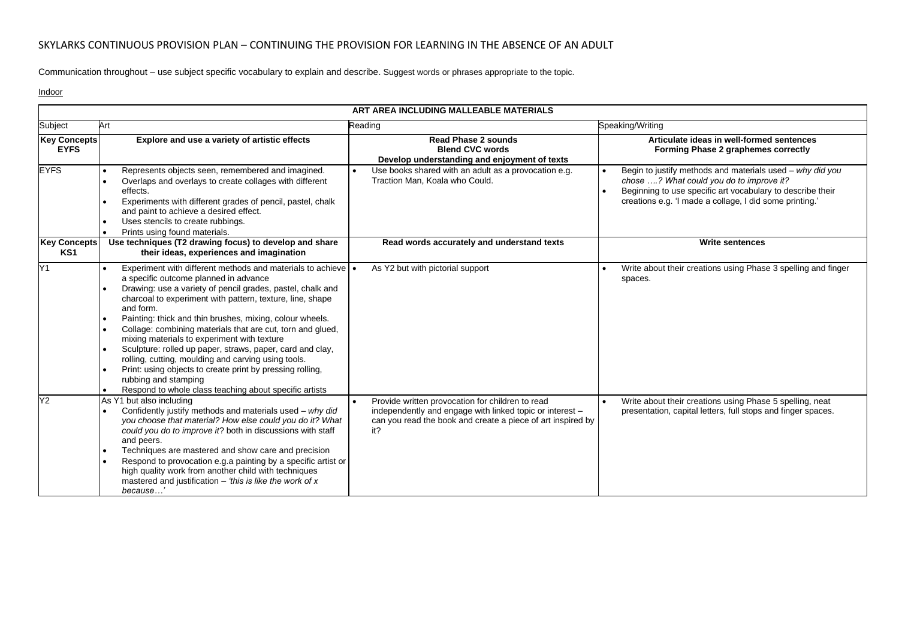Communication throughout – use subject specific vocabulary to explain and describe. Suggest words or phrases appropriate to the topic.

Indoor

| ART AREA INCLUDING MALLEABLE MATERIALS |                                                                                                                                                                                                                                                                                                                                                                                                                                                                                                                                                                                                                                                                                             |                                                                                                                                                                                    |                                                                                                                                                                                                                                |  |  |  |
|----------------------------------------|---------------------------------------------------------------------------------------------------------------------------------------------------------------------------------------------------------------------------------------------------------------------------------------------------------------------------------------------------------------------------------------------------------------------------------------------------------------------------------------------------------------------------------------------------------------------------------------------------------------------------------------------------------------------------------------------|------------------------------------------------------------------------------------------------------------------------------------------------------------------------------------|--------------------------------------------------------------------------------------------------------------------------------------------------------------------------------------------------------------------------------|--|--|--|
| Subject                                | Art                                                                                                                                                                                                                                                                                                                                                                                                                                                                                                                                                                                                                                                                                         | Reading                                                                                                                                                                            | Speaking/Writing                                                                                                                                                                                                               |  |  |  |
| <b>Key Concepts</b><br><b>EYFS</b>     | Explore and use a variety of artistic effects                                                                                                                                                                                                                                                                                                                                                                                                                                                                                                                                                                                                                                               | <b>Read Phase 2 sounds</b><br><b>Blend CVC words</b><br>Develop understanding and enjoyment of texts                                                                               | Articulate ideas in well-formed sentences<br>Forming Phase 2 graphemes correctly                                                                                                                                               |  |  |  |
| <b>EYFS</b>                            | Represents objects seen, remembered and imagined.<br>Overlaps and overlays to create collages with different<br>effects.<br>Experiments with different grades of pencil, pastel, chalk<br>and paint to achieve a desired effect.<br>Uses stencils to create rubbings.<br>Prints using found materials.<br>$\bullet$                                                                                                                                                                                                                                                                                                                                                                         | Use books shared with an adult as a provocation e.g.<br>Traction Man, Koala who Could.                                                                                             | Begin to justify methods and materials used - why did you<br>chose ? What could you do to improve it?<br>Beginning to use specific art vocabulary to describe their<br>creations e.g. 'I made a collage, I did some printing.' |  |  |  |
| <b>Key Concepts</b><br>KS1             | Use techniques (T2 drawing focus) to develop and share<br>their ideas, experiences and imagination                                                                                                                                                                                                                                                                                                                                                                                                                                                                                                                                                                                          | Read words accurately and understand texts                                                                                                                                         | <b>Write sentences</b>                                                                                                                                                                                                         |  |  |  |
| Y <sub>1</sub>                         | Experiment with different methods and materials to achieve   •<br>a specific outcome planned in advance<br>Drawing: use a variety of pencil grades, pastel, chalk and<br>charcoal to experiment with pattern, texture, line, shape<br>and form.<br>Painting: thick and thin brushes, mixing, colour wheels.<br>Collage: combining materials that are cut, torn and glued,<br>mixing materials to experiment with texture<br>Sculpture: rolled up paper, straws, paper, card and clay,<br>rolling, cutting, moulding and carving using tools.<br>Print: using objects to create print by pressing rolling.<br>rubbing and stamping<br>Respond to whole class teaching about specific artists | As Y2 but with pictorial support                                                                                                                                                   | Write about their creations using Phase 3 spelling and finger<br>spaces.                                                                                                                                                       |  |  |  |
| Y2                                     | As Y1 but also including<br>Confidently justify methods and materials used - why did<br>you choose that material? How else could you do it? What<br>could you do to improve it? both in discussions with staff<br>and peers.<br>Techniques are mastered and show care and precision<br>Respond to provocation e.g.a painting by a specific artist or<br>high quality work from another child with techniques<br>mastered and justification $-$ 'this is like the work of x<br>because'                                                                                                                                                                                                      | Provide written provocation for children to read<br>independently and engage with linked topic or interest -<br>can you read the book and create a piece of art inspired by<br>it? | Write about their creations using Phase 5 spelling, neat<br>presentation, capital letters, full stops and finger spaces.                                                                                                       |  |  |  |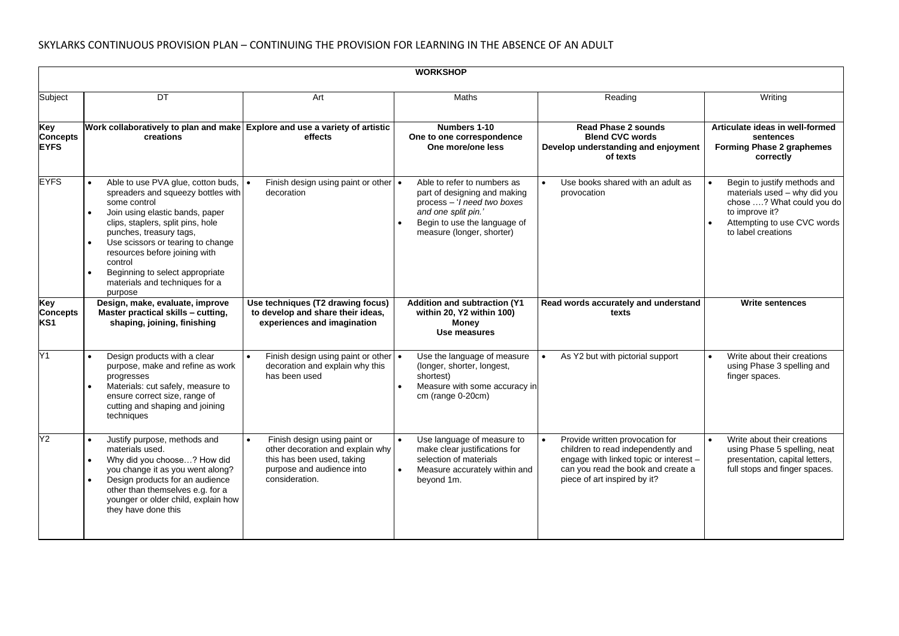|                                           | <b>WORKSHOP</b>                                                                                                                                                                                                                                                                                                                                                           |                                                                                                                                               |                                                                                                                                                                                        |                                                                                                                                                                                       |                                                                                                                                                                                            |  |  |  |
|-------------------------------------------|---------------------------------------------------------------------------------------------------------------------------------------------------------------------------------------------------------------------------------------------------------------------------------------------------------------------------------------------------------------------------|-----------------------------------------------------------------------------------------------------------------------------------------------|----------------------------------------------------------------------------------------------------------------------------------------------------------------------------------------|---------------------------------------------------------------------------------------------------------------------------------------------------------------------------------------|--------------------------------------------------------------------------------------------------------------------------------------------------------------------------------------------|--|--|--|
| Subject                                   | DT                                                                                                                                                                                                                                                                                                                                                                        | Art                                                                                                                                           | Maths                                                                                                                                                                                  | Reading                                                                                                                                                                               | Writing                                                                                                                                                                                    |  |  |  |
| Key<br><b>Concepts</b><br><b>EYFS</b>     | Work collaboratively to plan and make Explore and use a variety of artistic<br>creations                                                                                                                                                                                                                                                                                  | effects                                                                                                                                       | Numbers 1-10<br>One to one correspondence<br>One more/one less                                                                                                                         | <b>Read Phase 2 sounds</b><br><b>Blend CVC words</b><br>Develop understanding and enjoyment<br>of texts                                                                               | Articulate ideas in well-formed<br>sentences<br><b>Forming Phase 2 graphemes</b><br>correctly                                                                                              |  |  |  |
| <b>EYFS</b>                               | Able to use PVA glue, cotton buds,<br>spreaders and squeezy bottles with<br>some control<br>Join using elastic bands, paper<br>$\bullet$<br>clips, staplers, split pins, hole<br>punches, treasury tags,<br>Use scissors or tearing to change<br>resources before joining with<br>control<br>Beginning to select appropriate<br>materials and techniques for a<br>purpose | Finish design using paint or other $\cdot$<br>decoration                                                                                      | Able to refer to numbers as<br>part of designing and making<br>process - ' <i>l</i> need two boxes<br>and one split pin.'<br>Begin to use the language of<br>measure (longer, shorter) | Use books shared with an adult as<br>provocation                                                                                                                                      | Begin to justify methods and<br>$\bullet$<br>materials used - why did you<br>chose ? What could you do<br>to improve it?<br>Attempting to use CVC words<br>$\bullet$<br>to label creations |  |  |  |
| Key<br><b>Concepts</b><br>KS <sub>1</sub> | Design, make, evaluate, improve<br>Master practical skills - cutting,<br>shaping, joining, finishing                                                                                                                                                                                                                                                                      | Use techniques (T2 drawing focus)<br>to develop and share their ideas,<br>experiences and imagination                                         | <b>Addition and subtraction (Y1)</b><br>within 20, Y2 within 100)<br><b>Money</b><br>Use measures                                                                                      | Read words accurately and understand<br>texts                                                                                                                                         | <b>Write sentences</b>                                                                                                                                                                     |  |  |  |
| Y1                                        | Design products with a clear<br>purpose, make and refine as work<br>progresses<br>Materials: cut safely, measure to<br>ensure correct size, range of<br>cutting and shaping and joining<br>techniques                                                                                                                                                                     | Finish design using paint or other<br>decoration and explain why this<br>has been used                                                        | Use the language of measure<br>(longer, shorter, longest,<br>shortest)<br>Measure with some accuracy in<br>cm (range 0-20cm)                                                           | As Y2 but with pictorial support                                                                                                                                                      | Write about their creations<br>using Phase 3 spelling and<br>finger spaces.                                                                                                                |  |  |  |
| Y2                                        | Justify purpose, methods and<br>materials used.<br>Why did you choose? How did<br>you change it as you went along?<br>Design products for an audience<br>other than themselves e.g. for a<br>younger or older child, explain how<br>they have done this                                                                                                                   | Finish design using paint or<br>other decoration and explain why<br>this has been used, taking<br>purpose and audience into<br>consideration. | Use language of measure to<br>make clear justifications for<br>selection of materials<br>Measure accurately within and<br>beyond 1m.                                                   | Provide written provocation for<br>children to read independently and<br>engage with linked topic or interest -<br>can you read the book and create a<br>piece of art inspired by it? | Write about their creations<br>using Phase 5 spelling, neat<br>presentation, capital letters,<br>full stops and finger spaces.                                                             |  |  |  |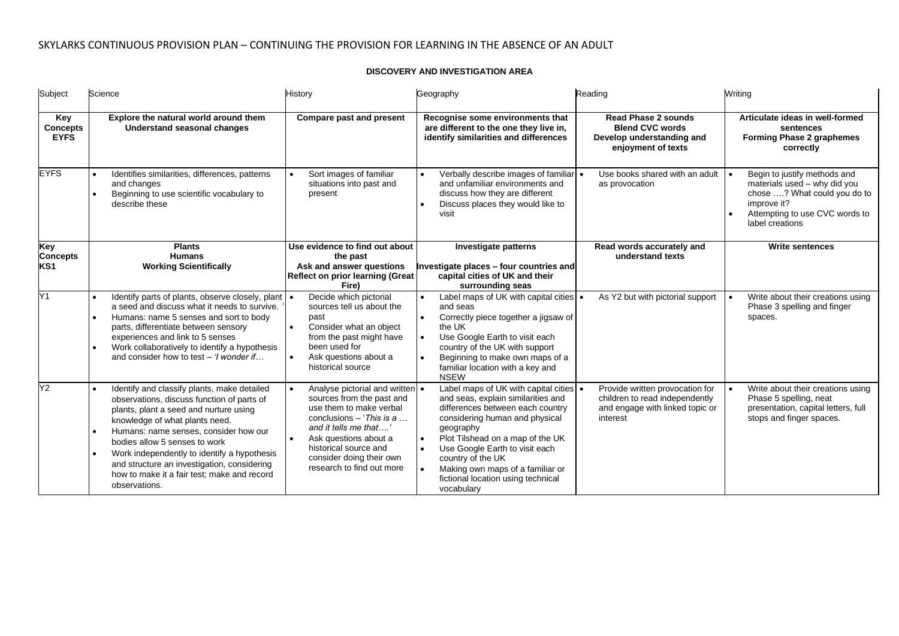### **DISCOVERY AND INVESTIGATION AREA**

| Subject                               | Science                                                                                                                                                                                                                                                                                                                                                                                                                    | <b>History</b>                                                                                                                                                                                                                                          | Geography                                                                                                                                                                                                                                                                                                                                                                                       | Reading                                                                                                          | Writing                                                                                                                                                          |
|---------------------------------------|----------------------------------------------------------------------------------------------------------------------------------------------------------------------------------------------------------------------------------------------------------------------------------------------------------------------------------------------------------------------------------------------------------------------------|---------------------------------------------------------------------------------------------------------------------------------------------------------------------------------------------------------------------------------------------------------|-------------------------------------------------------------------------------------------------------------------------------------------------------------------------------------------------------------------------------------------------------------------------------------------------------------------------------------------------------------------------------------------------|------------------------------------------------------------------------------------------------------------------|------------------------------------------------------------------------------------------------------------------------------------------------------------------|
| Key<br><b>Concepts</b><br><b>EYFS</b> | Explore the natural world around them<br><b>Understand seasonal changes</b>                                                                                                                                                                                                                                                                                                                                                | <b>Compare past and present</b>                                                                                                                                                                                                                         | Recognise some environments that<br>are different to the one they live in,<br>identify similarities and differences                                                                                                                                                                                                                                                                             | <b>Read Phase 2 sounds</b><br><b>Blend CVC words</b><br>Develop understanding and<br>enjoyment of texts          | Articulate ideas in well-formed<br>sentences<br><b>Forming Phase 2 graphemes</b><br>correctly                                                                    |
| <b>EYFS</b>                           | Identifies similarities, differences, patterns<br>and changes<br>Beginning to use scientific vocabulary to<br>describe these                                                                                                                                                                                                                                                                                               | Sort images of familiar<br>situations into past and<br>present                                                                                                                                                                                          | Verbally describe images of familiar •<br>and unfamiliar environments and<br>discuss how they are different<br>Discuss places they would like to<br>$\bullet$<br>visit                                                                                                                                                                                                                          | Use books shared with an adult<br>as provocation                                                                 | Begin to justify methods and<br>materials used - why did you<br>chose ? What could you do to<br>improve it?<br>Attempting to use CVC words to<br>label creations |
| <b>Key</b><br><b>Concepts</b><br>KS1  | <b>Plants</b><br><b>Humans</b><br><b>Working Scientifically</b>                                                                                                                                                                                                                                                                                                                                                            | Use evidence to find out about<br>the past<br>Ask and answer questions<br><b>Reflect on prior learning (Great</b><br>Fire)                                                                                                                              | Investigate patterns<br>Investigate places - four countries and<br>capital cities of UK and their<br>surrounding seas                                                                                                                                                                                                                                                                           | Read words accurately and<br>understand texts                                                                    | <b>Write sentences</b>                                                                                                                                           |
| Y1                                    | Identify parts of plants, observe closely, plant<br>a seed and discuss what it needs to survive.<br>Humans: name 5 senses and sort to body<br>parts, differentiate between sensory<br>experiences and link to 5 senses<br>Work collaboratively to identify a hypothesis<br>and consider how to test $-$ ' <i>l</i> wonder if                                                                                               | Decide which pictorial<br>sources tell us about the<br>past<br>Consider what an object<br>$\bullet$<br>from the past might have<br>been used for<br>Ask questions about a<br>$\bullet$<br>historical source                                             | Label maps of UK with capital cities •<br>and seas<br>Correctly piece together a jigsaw of<br>the UK<br>Use Google Earth to visit each<br>$\bullet$<br>country of the UK with support<br>Beginning to make own maps of a<br>$\bullet$<br>familiar location with a key and<br><b>NSEW</b>                                                                                                        | As Y2 but with pictorial support                                                                                 | Write about their creations using<br>Phase 3 spelling and finger<br>spaces.                                                                                      |
| Y2                                    | Identify and classify plants, make detailed<br>observations, discuss function of parts of<br>plants, plant a seed and nurture using<br>knowledge of what plants need.<br>Humans: name senses, consider how our<br>bodies allow 5 senses to work<br>Work independently to identify a hypothesis<br>$\bullet$<br>and structure an investigation, considering<br>how to make it a fair test; make and record<br>observations. | Analyse pictorial and written •<br>sources from the past and<br>use them to make verbal<br>conclusions $-$ This is a<br>and it tells me that<br>Ask questions about a<br>historical source and<br>consider doing their own<br>research to find out more | Label maps of UK with capital cities $\cdot$<br>and seas, explain similarities and<br>differences between each country<br>considering human and physical<br>geography<br>Plot Tilshead on a map of the UK<br>$\bullet$<br>Use Google Earth to visit each<br>$\bullet$<br>country of the UK<br>Making own maps of a familiar or<br>$\bullet$<br>fictional location using technical<br>vocabulary | Provide written provocation for<br>children to read independently<br>and engage with linked topic or<br>interest | Write about their creations using<br>Phase 5 spelling, neat<br>presentation, capital letters, full<br>stops and finger spaces.                                   |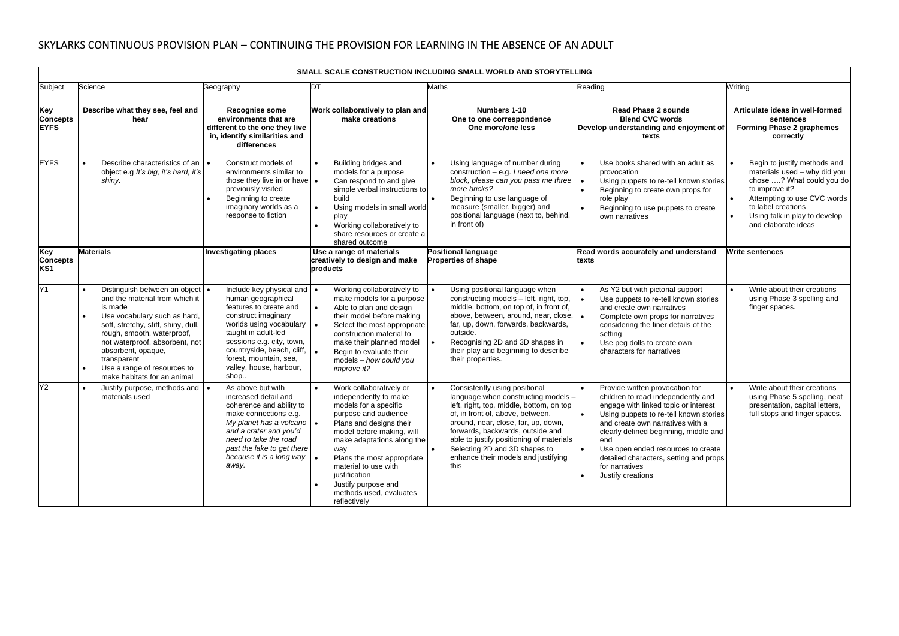|                                           | SMALL SCALE CONSTRUCTION INCLUDING SMALL WORLD AND STORYTELLING                                                                                                                                                                                                                                                                                |                                                                                                                                                                                                                                                                             |                                                                                                                                                                                                                                                                                                                                         |                                                                                                                                                                                                                                                                                                                                                                          |                                                                                                                                                                                                                                                                                                                                                                                                           |                                                                                                                                                                                                                          |  |
|-------------------------------------------|------------------------------------------------------------------------------------------------------------------------------------------------------------------------------------------------------------------------------------------------------------------------------------------------------------------------------------------------|-----------------------------------------------------------------------------------------------------------------------------------------------------------------------------------------------------------------------------------------------------------------------------|-----------------------------------------------------------------------------------------------------------------------------------------------------------------------------------------------------------------------------------------------------------------------------------------------------------------------------------------|--------------------------------------------------------------------------------------------------------------------------------------------------------------------------------------------------------------------------------------------------------------------------------------------------------------------------------------------------------------------------|-----------------------------------------------------------------------------------------------------------------------------------------------------------------------------------------------------------------------------------------------------------------------------------------------------------------------------------------------------------------------------------------------------------|--------------------------------------------------------------------------------------------------------------------------------------------------------------------------------------------------------------------------|--|
| Subject                                   | Science                                                                                                                                                                                                                                                                                                                                        | Geography                                                                                                                                                                                                                                                                   | DT                                                                                                                                                                                                                                                                                                                                      | <b>Maths</b>                                                                                                                                                                                                                                                                                                                                                             | Reading                                                                                                                                                                                                                                                                                                                                                                                                   | Writina                                                                                                                                                                                                                  |  |
| Key<br>Concepts<br><b>EYFS</b>            | Describe what they see, feel and<br>hear                                                                                                                                                                                                                                                                                                       | Recognise some<br>environments that are<br>different to the one they live<br>in, identify similarities and<br>differences                                                                                                                                                   | Work collaboratively to plan and<br>make creations                                                                                                                                                                                                                                                                                      | Numbers 1-10<br>One to one correspondence<br>One more/one less                                                                                                                                                                                                                                                                                                           | <b>Read Phase 2 sounds</b><br><b>Blend CVC words</b><br>Develop understanding and enjoyment of<br>texts                                                                                                                                                                                                                                                                                                   | Articulate ideas in well-formed<br>sentences<br>Forming Phase 2 graphemes<br>correctly                                                                                                                                   |  |
| <b>EYFS</b>                               | Describe characteristics of an<br>$\bullet$<br>object e.g It's big, it's hard, it's<br>shiny.                                                                                                                                                                                                                                                  | Construct models of<br>environments similar to<br>those they live in or have   .<br>previously visited<br>Beginning to create<br>imaginary worlds as a<br>response to fiction                                                                                               | Building bridges and<br>models for a purpose<br>Can respond to and give<br>simple verbal instructions to<br>build<br>Using models in small world<br>play<br>Working collaboratively to<br>share resources or create a<br>shared outcome                                                                                                 | Using language of number during<br>$\bullet$<br>construction $-$ e.g. <i>I</i> need one more<br>block, please can you pass me three<br>more bricks?<br>Beginning to use language of<br>measure (smaller, bigger) and<br>positional language (next to, behind,<br>in front of)                                                                                            | Use books shared with an adult as<br>$\bullet$<br>provocation<br>Using puppets to re-tell known stories<br>$\bullet$<br>$\bullet$<br>Beginning to create own props for<br>role play<br>Beginning to use puppets to create<br>$\bullet$<br>own narratives                                                                                                                                                  | Begin to justify methods and<br>materials used - why did you<br>chose ? What could you do<br>to improve it?<br>Attempting to use CVC words<br>to label creations<br>Using talk in play to develop<br>and elaborate ideas |  |
| Key<br><b>Concepts</b><br>KS <sub>1</sub> | <b>Materials</b>                                                                                                                                                                                                                                                                                                                               | <b>Investigating places</b>                                                                                                                                                                                                                                                 | Use a range of materials<br>creatively to design and make<br>products                                                                                                                                                                                                                                                                   | <b>Positional language</b><br><b>Properties of shape</b>                                                                                                                                                                                                                                                                                                                 | Read words accurately and understand<br>texts                                                                                                                                                                                                                                                                                                                                                             | Write sentences                                                                                                                                                                                                          |  |
| Y1                                        | Distinguish between an object<br>and the material from which it<br>is made<br>Use vocabulary such as hard,<br>$\bullet$<br>soft, stretchy, stiff, shiny, dull,<br>rough, smooth, waterproof,<br>not waterproof, absorbent, not<br>absorbent, opaque,<br>transparent<br>$\bullet$<br>Use a range of resources to<br>make habitats for an animal | Include key physical and .<br>human geographical<br>features to create and<br>construct imaginary<br>worlds using vocabulary<br>taught in adult-led<br>sessions e.g. city, town,<br>countryside, beach, cliff,<br>forest, mountain, sea,<br>valley, house, harbour,<br>shop | Working collaboratively to<br>make models for a purpose<br>Able to plan and design<br>their model before making<br>Select the most appropriate<br>construction material to<br>make their planned model<br>Begin to evaluate their<br>models - how could you<br>improve it?                                                              | Using positional language when<br>constructing models - left, right, top,<br>middle, bottom, on top of, in front of,<br>above, between, around, near, close,<br>far, up, down, forwards, backwards,<br>outside.<br>Recognising 2D and 3D shapes in<br>۰ ا<br>their play and beginning to describe<br>their properties.                                                   | As Y2 but with pictorial support<br>$\bullet$<br>$\bullet$<br>Use puppets to re-tell known stories<br>and create own narratives<br>Complete own props for narratives<br>$\bullet$<br>considering the finer details of the<br>setting<br>$\bullet$<br>Use peg dolls to create own<br>characters for narratives                                                                                             | Write about their creations<br>using Phase 3 spelling and<br>finger spaces.                                                                                                                                              |  |
| Y2                                        | Justify purpose, methods and<br>$\bullet$<br>materials used                                                                                                                                                                                                                                                                                    | As above but with<br>increased detail and<br>coherence and ability to<br>make connections e.g.<br>My planet has a volcano<br>and a crater and you'd<br>need to take the road<br>past the lake to get there<br>because it is a long way<br>away.                             | Work collaboratively or<br>independently to make<br>models for a specific<br>purpose and audience<br>Plans and designs their<br>model before making, will<br>make adaptations along the<br>way<br>Plans the most appropriate<br>material to use with<br>justification<br>Justify purpose and<br>methods used, evaluates<br>reflectively | Consistently using positional<br>$\bullet$<br>language when constructing models -<br>left, right, top, middle, bottom, on top<br>of, in front of, above, between,<br>around, near, close, far, up, down,<br>forwards, backwards, outside and<br>able to justify positioning of materials<br>Selecting 2D and 3D shapes to<br>enhance their models and justifying<br>this | Provide written provocation for<br>$\bullet$<br>children to read independently and<br>engage with linked topic or interest<br>$\bullet$<br>Using puppets to re-tell known stories<br>and create own narratives with a<br>clearly defined beginning, middle and<br>end<br>$\bullet$<br>Use open ended resources to create<br>detailed characters, setting and props<br>for narratives<br>Justify creations | Write about their creations<br>using Phase 5 spelling, neat<br>presentation, capital letters,<br>full stops and finger spaces.                                                                                           |  |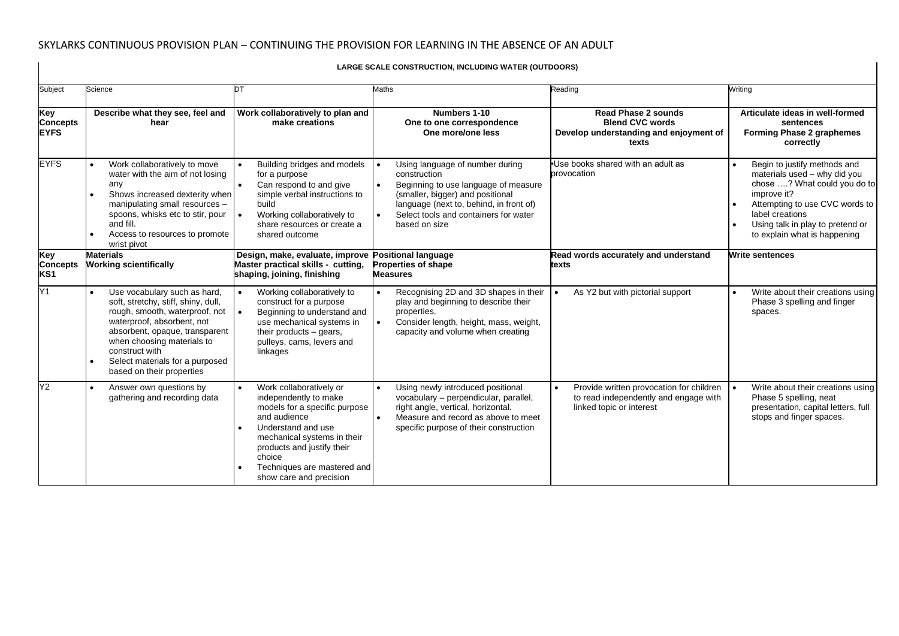$\mathbf{I}$ 

| Subject                                   | Science                                                                                                                                                                                                                                                                               | nт                                                                                                                                                                                                                                                       | Maths                                                                                                                                                                                                                                         | Reading                                                                                                                    | Writing                                                                                                                                                                                                                              |  |  |
|-------------------------------------------|---------------------------------------------------------------------------------------------------------------------------------------------------------------------------------------------------------------------------------------------------------------------------------------|----------------------------------------------------------------------------------------------------------------------------------------------------------------------------------------------------------------------------------------------------------|-----------------------------------------------------------------------------------------------------------------------------------------------------------------------------------------------------------------------------------------------|----------------------------------------------------------------------------------------------------------------------------|--------------------------------------------------------------------------------------------------------------------------------------------------------------------------------------------------------------------------------------|--|--|
| Key<br><b>Concepts</b><br><b>EYFS</b>     | Describe what they see, feel and<br>hear                                                                                                                                                                                                                                              | Work collaboratively to plan and<br>make creations                                                                                                                                                                                                       | Numbers 1-10<br>One to one correspondence<br>One more/one less                                                                                                                                                                                | <b>Read Phase 2 sounds</b><br><b>Blend CVC words</b><br>Develop understanding and enjoyment of<br>texts                    | Articulate ideas in well-formed<br>sentences<br><b>Forming Phase 2 graphemes</b><br>correctly                                                                                                                                        |  |  |
| <b>EYFS</b>                               | Work collaboratively to move<br>water with the aim of not losing<br>any<br>Shows increased dexterity when<br>manipulating small resources -<br>spoons, whisks etc to stir, pour<br>and fill.<br>Access to resources to promote<br>wrist pivot                                         | Building bridges and models<br>for a purpose<br>Can respond to and give<br>simple verbal instructions to<br>build<br>Working collaboratively to<br>share resources or create a<br>shared outcome                                                         | Using language of number during<br>construction<br>Beginning to use language of measure<br>$\bullet$<br>(smaller, bigger) and positional<br>language (next to, behind, in front of)<br>Select tools and containers for water<br>based on size | Use books shared with an adult as<br>provocation                                                                           | Begin to justify methods and<br>materials used - why did you<br>chose ? What could you do to<br>improve it?<br>Attempting to use CVC words to<br>label creations<br>Using talk in play to pretend or<br>to explain what is happening |  |  |
| Key<br><b>Concepts</b><br>KS <sub>1</sub> | <b>Materials</b><br><b>Working scientifically</b>                                                                                                                                                                                                                                     | Design, make, evaluate, improve Positional language<br>Master practical skills - cutting,<br>shaping, joining, finishing                                                                                                                                 | <b>Properties of shape</b><br><b>Measures</b>                                                                                                                                                                                                 | Read words accurately and understand<br>texts                                                                              | <b>Write sentences</b>                                                                                                                                                                                                               |  |  |
| Y1                                        | Use vocabulary such as hard,<br>soft, stretchy, stiff, shiny, dull,<br>rough, smooth, waterproof, not<br>waterproof, absorbent, not<br>absorbent, opaque, transparent<br>when choosing materials to<br>construct with<br>Select materials for a purposed<br>based on their properties | Working collaboratively to<br>construct for a purpose<br>Beginning to understand and<br>use mechanical systems in<br>their products $-$ gears,<br>pulleys, cams, levers and<br>linkages                                                                  | Recognising 2D and 3D shapes in their<br>$\bullet$<br>play and beginning to describe their<br>properties.<br>Consider length, height, mass, weight,<br>$\bullet$<br>capacity and volume when creating                                         | As Y2 but with pictorial support                                                                                           | Write about their creations using<br>Phase 3 spelling and finger<br>spaces.                                                                                                                                                          |  |  |
| Y2                                        | Answer own questions by<br>gathering and recording data                                                                                                                                                                                                                               | Work collaboratively or<br>independently to make<br>models for a specific purpose<br>and audience<br>Understand and use<br>mechanical systems in their<br>products and justify their<br>choice<br>Techniques are mastered and<br>show care and precision | Using newly introduced positional<br>$\bullet$<br>vocabulary - perpendicular, parallel,<br>right angle, vertical, horizontal.<br>Measure and record as above to meet<br>$\bullet$<br>specific purpose of their construction                   | Provide written provocation for children<br>$\bullet$<br>to read independently and engage with<br>linked topic or interest | Write about their creations using<br>Phase 5 spelling, neat<br>presentation, capital letters, full<br>stops and finger spaces.                                                                                                       |  |  |

#### **LARGE SCALE CONSTRUCTION, INCLUDING WATER (OUTDOORS)**